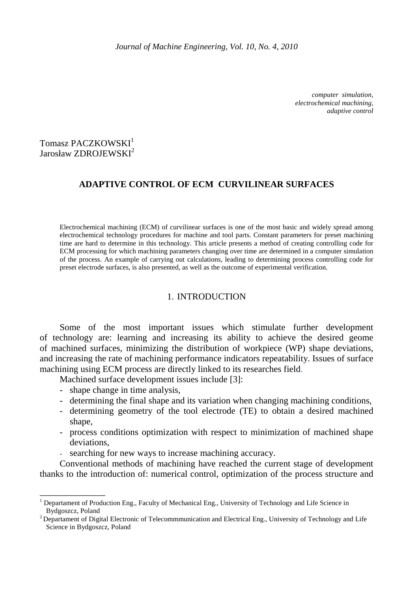*computer simulation, electrochemical machining, adaptive control*

# Tomasz PACZKOWSKI<sup>1</sup> Jarosław ZDROJEWSKI<sup>2</sup>

## **ADAPTIVE CONTROL OF ECM CURVILINEAR SURFACES**

Electrochemical machining (ECM) of curvilinear surfaces is one of the most basic and widely spread among electrochemical technology procedures for machine and tool parts. Constant parameters for preset machining time are hard to determine in this technology. This article presents a method of creating controlling code for ECM processing for which machining parameters changing over time are determined in a computer simulation of the process. An example of carrying out calculations, leading to determining process controlling code for preset electrode surfaces, is also presented, as well as the outcome of experimental verification.

## 1. INTRODUCTION

Some of the most important issues which stimulate further development of technology are: learning and increasing its ability to achieve the desired geome of machined surfaces, minimizing the distribution of workpiece (WP) shape deviations, and increasing the rate of machining performance indicators repeatability. Issues of surface machining using ECM process are directly linked to its researches field.

Machined surface development issues include [3]:

- shape change in time analysis,

\_\_\_\_\_\_\_\_\_\_\_\_\_\_\_\_\_

- determining the final shape and its variation when changing machining conditions,
- determining geometry of the tool electrode (TE) to obtain a desired machined shape,
- process conditions optimization with respect to minimization of machined shape deviations,
- searching for new ways to increase machining accuracy.

Conventional methods of machining have reached the current stage of development thanks to the introduction of: numerical control, optimization of the process structure and

<sup>&</sup>lt;sup>1</sup> Departament of Production Eng., Faculty of Mechanical Eng., University of Technology and Life Science in Bydgoszcz, Poland

<sup>&</sup>lt;sup>2</sup> Departament of Digital Electronic of Telecommmunication and Electrical Eng., University of Technology and Life Science in Bydgoszcz, Poland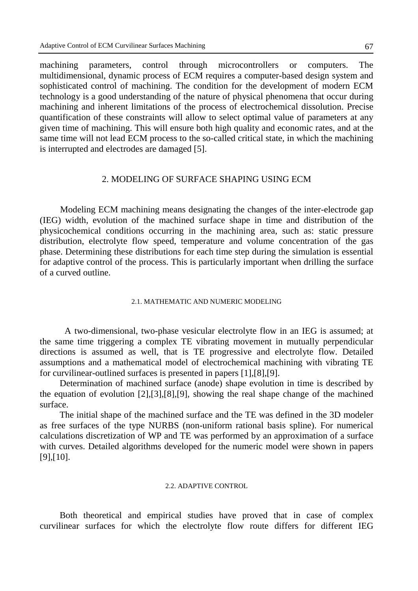machining parameters, control through microcontrollers or computers. The multidimensional, dynamic process of ECM requires a computer-based design system and sophisticated control of machining. The condition for the development of modern ECM technology is a good understanding of the nature of physical phenomena that occur during machining and inherent limitations of the process of electrochemical dissolution. Precise quantification of these constraints will allow to select optimal value of parameters at any given time of machining. This will ensure both high quality and economic rates, and at the same time will not lead ECM process to the so-called critical state, in which the machining is interrupted and electrodes are damaged [5].

#### 2. MODELING OF SURFACE SHAPING USING ECM

Modeling ECM machining means designating the changes of the inter-electrode gap (IEG) width, evolution of the machined surface shape in time and distribution of the physicochemical conditions occurring in the machining area, such as: static pressure distribution, electrolyte flow speed, temperature and volume concentration of the gas phase. Determining these distributions for each time step during the simulation is essential for adaptive control of the process. This is particularly important when drilling the surface of a curved outline.

#### 2.1. MATHEMATIC AND NUMERIC MODELING

A two-dimensional, two-phase vesicular electrolyte flow in an IEG is assumed; at the same time triggering a complex TE vibrating movement in mutually perpendicular directions is assumed as well, that is TE progressive and electrolyte flow. Detailed assumptions and a mathematical model of electrochemical machining with vibrating TE for curvilinear-outlined surfaces is presented in papers [1],[8],[9].

Determination of machined surface (anode) shape evolution in time is described by the equation of evolution [2],[3],[8],[9], showing the real shape change of the machined surface.

The initial shape of the machined surface and the TE was defined in the 3D modeler as free surfaces of the type NURBS (non-uniform rational basis spline). For numerical calculations discretization of WP and TE was performed by an approximation of a surface with curves. Detailed algorithms developed for the numeric model were shown in papers [9],[10].

#### 2.2. ADAPTIVE CONTROL

Both theoretical and empirical studies have proved that in case of complex curvilinear surfaces for which the electrolyte flow route differs for different IEG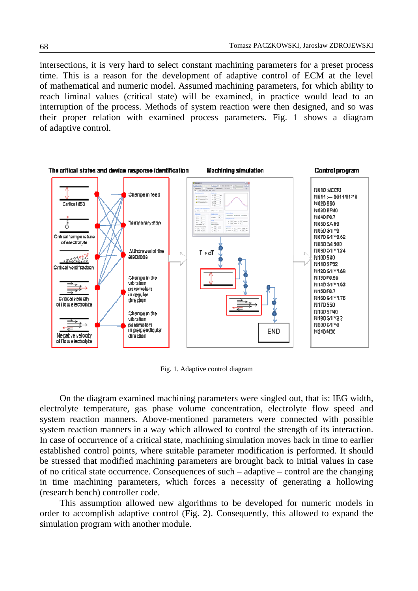intersections, it is very hard to select constant machining parameters for a preset process time. This is a reason for the development of adaptive control of ECM at the level of mathematical and numeric model. Assumed machining parameters, for which ability to reach liminal values (critical state) will be examined, in practice would lead to an interruption of the process. Methods of system reaction were then designed, and so was their proper relation with examined process parameters. Fig. 1 shows a diagram of adaptive control.



Fig. 1. Adaptive control diagram

On the diagram examined machining parameters were singled out, that is: IEG width, electrolyte temperature, gas phase volume concentration, electrolyte flow speed and system reaction manners. Above-mentioned parameters were connected with possible system reaction manners in a way which allowed to control the strength of its interaction. In case of occurrence of a critical state, machining simulation moves back in time to earlier established control points, where suitable parameter modification is performed. It should be stressed that modified machining parameters are brought back to initial values in case of no critical state occurrence. Consequences of such – adaptive – control are the changing in time machining parameters, which forces a necessity of generating a hollowing (research bench) controller code.

This assumption allowed new algorithms to be developed for numeric models in order to accomplish adaptive control (Fig. 2). Consequently, this allowed to expand the simulation program with another module.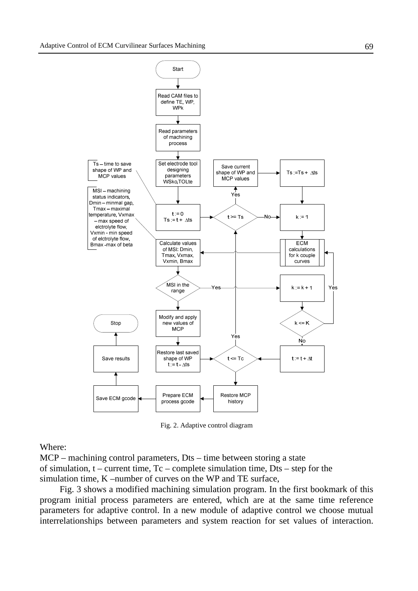

Fig. 2. Adaptive control diagram

#### Where:

MCP – machining control parameters, Dts – time between storing a state of simulation,  $t -$  current time,  $Tc -$  complete simulation time,  $Dts -$  step for the simulation time, K –number of curves on the WP and TE surface,

Fig. 3 shows a modified machining simulation program. In the first bookmark of this program initial process parameters are entered, which are at the same time reference parameters for adaptive control. In a new module of adaptive control we choose mutual interrelationships between parameters and system reaction for set values of interaction.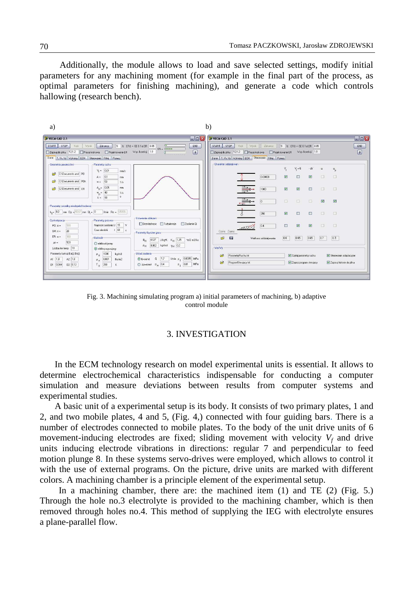Additionally, the module allows to load and save selected settings, modify initial parameters for any machining moment (for example in the final part of the process, as optimal parameters for finishing machining), and generate a code which controls hallowing (research bench).



Fig. 3. Machining simulating program a) initial parameters of machining, b) adaptive control module

#### 3. INVESTIGATION

In the ECM technology research on model experimental units is essential. It allows to determine electrochemical characteristics indispensable for conducting a computer simulation and measure deviations between results from computer systems and experimental studies.

A basic unit of a experimental setup is its body. It consists of two primary plates, 1 and 2, and two mobile plates, 4 and 5, (Fig. 4,) connected with four guiding bars. There is a number of electrodes connected to mobile plates. To the body of the unit drive units of 6 movement-inducing electrodes are fixed; sliding movement with velocity  $V_f$  and drive units inducing electrode vibrations in directions: regular 7 and perpendicular to feed motion plunge 8. In these systems servo-drives were employed, which allows to control it with the use of external programs. On the picture, drive units are marked with different colors. A machining chamber is a principle element of the experimental setup.

In a machining chamber, there are: the machined item (1) and TE (2) (Fig. 5.) Through the hole no.3 electrolyte is provided to the machining chamber, which is then removed through holes no.4. This method of supplying the IEG with electrolyte ensures a plane-parallel flow.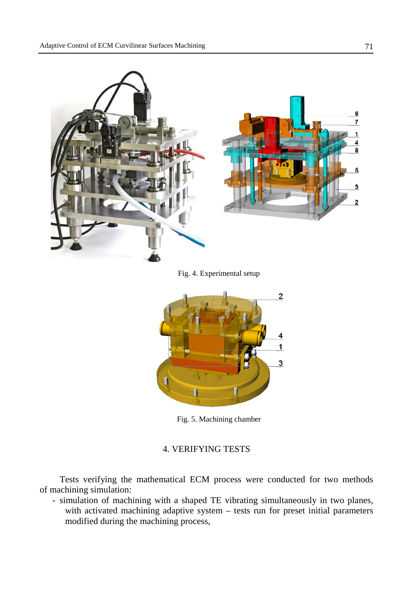

Fig. 4. Experimental setup



Fig. 5. Machining chamber

## 4. VERIFYING TESTS

Tests verifying the mathematical ECM process were conducted for two methods of machining simulation:

- simulation of machining with a shaped TE vibrating simultaneously in two planes, with activated machining adaptive system – tests run for preset initial parameters modified during the machining process,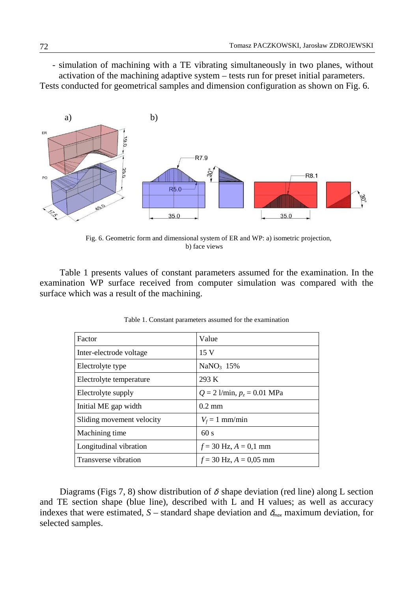- simulation of machining with a TE vibrating simultaneously in two planes, without activation of the machining adaptive system – tests run for preset initial parameters. Tests conducted for geometrical samples and dimension configuration as shown on Fig. 6.



 Fig. 6. Geometric form and dimensional system of ER and WP: a) isometric projection, b) face views

 Table 1 presents values of constant parameters assumed for the examination. In the examination WP surface received from computer simulation was compared with the surface which was a result of the machining.

| Factor                    | Value                           |
|---------------------------|---------------------------------|
| Inter-electrode voltage   | 15V                             |
| Electrolyte type          | $NaNO3$ 15%                     |
| Electrolyte temperature   | 293 K                           |
| Electrolyte supply        | $Q = 2$ l/min, $p_z = 0.01$ MPa |
| Initial ME gap width      | $0.2 \text{ mm}$                |
| Sliding movement velocity | $V_f = 1$ mm/min                |
| Machining time            | 60s                             |
| Longitudinal vibration    | $f = 30$ Hz, $A = 0,1$ mm       |
| Transverse vibration      | $f = 30$ Hz, $A = 0.05$ mm      |

Table 1. Constant parameters assumed for the examination

Diagrams (Figs 7, 8) show distribution of  $\delta$  shape deviation (red line) along L section and TE section shape (blue line), described with L and H values; as well as accuracy indexes that were estimated,  $S$  – standard shape deviation and  $\delta_{\text{max}}$  maximum deviation, for selected samples.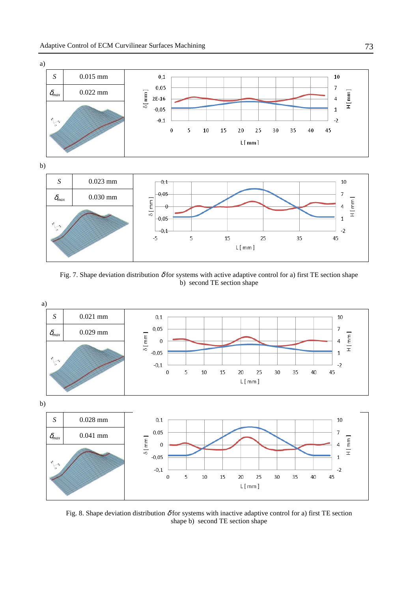

Fig. 7. Shape deviation distribution  $\delta$  for systems with active adaptive control for a) first TE section shape b) second TE section shape



Fig. 8. Shape deviation distribution  $\delta$  for systems with inactive adaptive control for a) first TE section shape b) second TE section shape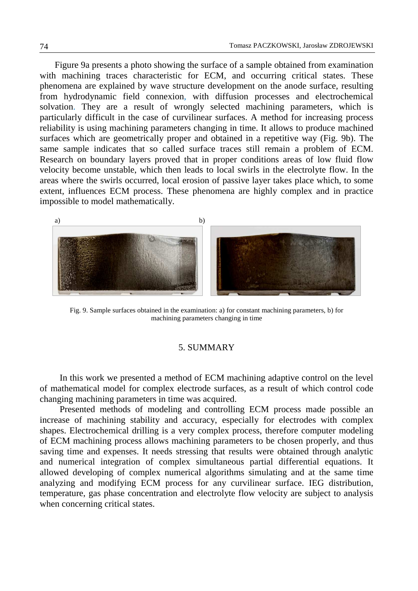Figure 9a presents a photo showing the surface of a sample obtained from examination with machining traces characteristic for ECM, and occurring critical states. These phenomena are explained by wave structure development on the anode surface, resulting from hydrodynamic field connexion, with diffusion processes and electrochemical solvation. They are a result of wrongly selected machining parameters, which is particularly difficult in the case of curvilinear surfaces. A method for increasing process reliability is using machining parameters changing in time. It allows to produce machined surfaces which are geometrically proper and obtained in a repetitive way (Fig. 9b). The same sample indicates that so called surface traces still remain a problem of ECM. Research on boundary layers proved that in proper conditions areas of low fluid flow velocity become unstable, which then leads to local swirls in the electrolyte flow. In the areas where the swirls occurred, local erosion of passive layer takes place which, to some extent, influences ECM process. These phenomena are highly complex and in practice impossible to model mathematically.



Fig. 9. Sample surfaces obtained in the examination: a) for constant machining parameters, b) for machining parameters changing in time

#### 5. SUMMARY

In this work we presented a method of ECM machining adaptive control on the level of mathematical model for complex electrode surfaces, as a result of which control code changing machining parameters in time was acquired.

Presented methods of modeling and controlling ECM process made possible an increase of machining stability and accuracy, especially for electrodes with complex shapes. Electrochemical drilling is a very complex process, therefore computer modeling of ECM machining process allows machining parameters to be chosen properly, and thus saving time and expenses. It needs stressing that results were obtained through analytic and numerical integration of complex simultaneous partial differential equations. It allowed developing of complex numerical algorithms simulating and at the same time analyzing and modifying ECM process for any curvilinear surface. IEG distribution, temperature, gas phase concentration and electrolyte flow velocity are subject to analysis when concerning critical states.